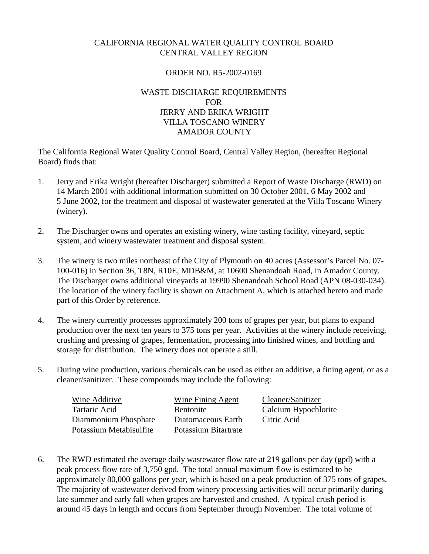## CALIFORNIA REGIONAL WATER QUALITY CONTROL BOARD CENTRAL VALLEY REGION

### ORDER NO. R5-2002-0169

### WASTE DISCHARGE REQUIREMENTS FOR JERRY AND ERIKA WRIGHT VILLA TOSCANO WINERY AMADOR COUNTY

The California Regional Water Quality Control Board, Central Valley Region, (hereafter Regional Board) finds that:

- 1. Jerry and Erika Wright (hereafter Discharger) submitted a Report of Waste Discharge (RWD) on 14 March 2001 with additional information submitted on 30 October 2001, 6 May 2002 and 5 June 2002, for the treatment and disposal of wastewater generated at the Villa Toscano Winery (winery).
- 2. The Discharger owns and operates an existing winery, wine tasting facility, vineyard, septic system, and winery wastewater treatment and disposal system.
- 3. The winery is two miles northeast of the City of Plymouth on 40 acres (Assessor's Parcel No. 07- 100-016) in Section 36, T8N, R10E, MDB&M, at 10600 Shenandoah Road, in Amador County. The Discharger owns additional vineyards at 19990 Shenandoah School Road (APN 08-030-034). The location of the winery facility is shown on Attachment A, which is attached hereto and made part of this Order by reference.
- 4. The winery currently processes approximately 200 tons of grapes per year, but plans to expand production over the next ten years to 375 tons per year. Activities at the winery include receiving, crushing and pressing of grapes, fermentation, processing into finished wines, and bottling and storage for distribution. The winery does not operate a still.
- 5. During wine production, various chemicals can be used as either an additive, a fining agent, or as a cleaner/sanitizer. These compounds may include the following:

| Wine Additive           | <b>Wine Fining Agent</b> | Cleaner/Sanitizer    |
|-------------------------|--------------------------|----------------------|
| Tartaric Acid           | <b>Bentonite</b>         | Calcium Hypochlorite |
| Diammonium Phosphate    | Diatomaceous Earth       | Citric Acid          |
| Potassium Metabisulfite | Potassium Bitartrate     |                      |

6. The RWD estimated the average daily wastewater flow rate at 219 gallons per day (gpd) with a peak process flow rate of 3,750 gpd. The total annual maximum flow is estimated to be approximately 80,000 gallons per year, which is based on a peak production of 375 tons of grapes. The majority of wastewater derived from winery processing activities will occur primarily during late summer and early fall when grapes are harvested and crushed. A typical crush period is around 45 days in length and occurs from September through November. The total volume of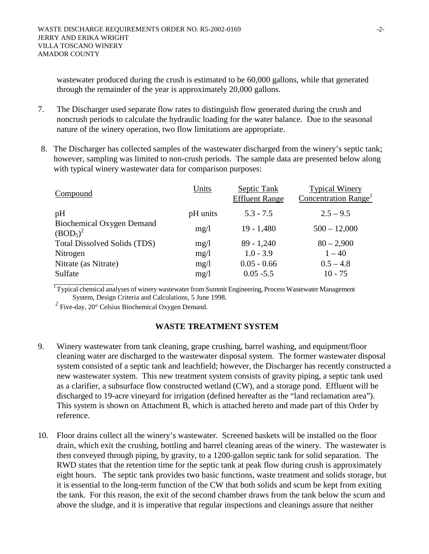wastewater produced during the crush is estimated to be 60,000 gallons, while that generated through the remainder of the year is approximately 20,000 gallons.

- 7. The Discharger used separate flow rates to distinguish flow generated during the crush and noncrush periods to calculate the hydraulic loading for the water balance. Due to the seasonal nature of the winery operation, two flow limitations are appropriate.
- 8. The Discharger has collected samples of the wastewater discharged from the winery's septic tank; however, sampling was limited to non-crush periods. The sample data are presented below along with typical winery wastewater data for comparison purposes:

| Units    | Septic Tank<br><b>Effluent Range</b> | <b>Typical Winery</b><br>Concentration Range <sup>1</sup> |
|----------|--------------------------------------|-----------------------------------------------------------|
| pH units | $5.3 - 7.5$                          | $2.5 - 9.5$                                               |
| mg/1     | $19 - 1,480$                         | $500 - 12,000$                                            |
| mg/1     | $89 - 1,240$                         | $80 - 2,900$                                              |
| mg/1     | $1.0 - 3.9$                          | $1 - 40$                                                  |
| mg/1     | $0.05 - 0.66$                        | $0.5 - 4.8$                                               |
| mg/1     | $0.05 - 5.5$                         | $10 - 75$                                                 |
|          |                                      |                                                           |

 $\overline{1}$  Typical chemical analyses of winery wastewater from Summit Engineering, Process Wastewater Management System, Design Criteria and Calculations, 5 June 1998.

<sup>2</sup> Five-day, 20° Celsius Biochemical Oxygen Demand.

### **WASTE TREATMENT SYSTEM**

- 9. Winery wastewater from tank cleaning, grape crushing, barrel washing, and equipment/floor cleaning water are discharged to the wastewater disposal system. The former wastewater disposal system consisted of a septic tank and leachfield; however, the Discharger has recently constructed a new wastewater system. This new treatment system consists of gravity piping, a septic tank used as a clarifier, a subsurface flow constructed wetland (CW), and a storage pond. Effluent will be discharged to 19-acre vineyard for irrigation (defined hereafter as the "land reclamation area"). This system is shown on Attachment B, which is attached hereto and made part of this Order by reference.
- 10. Floor drains collect all the winery's wastewater. Screened baskets will be installed on the floor drain, which exit the crushing, bottling and barrel cleaning areas of the winery. The wastewater is then conveyed through piping, by gravity, to a 1200-gallon septic tank for solid separation. The RWD states that the retention time for the septic tank at peak flow during crush is approximately eight hours. The septic tank provides two basic functions, waste treatment and solids storage, but it is essential to the long-term function of the CW that both solids and scum be kept from exiting the tank. For this reason, the exit of the second chamber draws from the tank below the scum and above the sludge, and it is imperative that regular inspections and cleanings assure that neither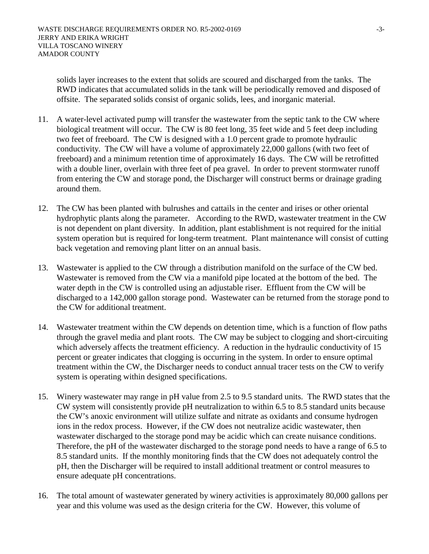solids layer increases to the extent that solids are scoured and discharged from the tanks. The RWD indicates that accumulated solids in the tank will be periodically removed and disposed of offsite. The separated solids consist of organic solids, lees, and inorganic material.

- 11. A water-level activated pump will transfer the wastewater from the septic tank to the CW where biological treatment will occur. The CW is 80 feet long, 35 feet wide and 5 feet deep including two feet of freeboard. The CW is designed with a 1.0 percent grade to promote hydraulic conductivity. The CW will have a volume of approximately 22,000 gallons (with two feet of freeboard) and a minimum retention time of approximately 16 days. The CW will be retrofitted with a double liner, overlain with three feet of pea gravel. In order to prevent stormwater runoff from entering the CW and storage pond, the Discharger will construct berms or drainage grading around them.
- 12. The CW has been planted with bulrushes and cattails in the center and irises or other oriental hydrophytic plants along the parameter. According to the RWD, wastewater treatment in the CW is not dependent on plant diversity. In addition, plant establishment is not required for the initial system operation but is required for long-term treatment. Plant maintenance will consist of cutting back vegetation and removing plant litter on an annual basis.
- 13. Wastewater is applied to the CW through a distribution manifold on the surface of the CW bed. Wastewater is removed from the CW via a manifold pipe located at the bottom of the bed. The water depth in the CW is controlled using an adjustable riser. Effluent from the CW will be discharged to a 142,000 gallon storage pond. Wastewater can be returned from the storage pond to the CW for additional treatment.
- 14. Wastewater treatment within the CW depends on detention time, which is a function of flow paths through the gravel media and plant roots. The CW may be subject to clogging and short-circuiting which adversely affects the treatment efficiency. A reduction in the hydraulic conductivity of 15 percent or greater indicates that clogging is occurring in the system. In order to ensure optimal treatment within the CW, the Discharger needs to conduct annual tracer tests on the CW to verify system is operating within designed specifications.
- 15. Winery wastewater may range in pH value from 2.5 to 9.5 standard units. The RWD states that the CW system will consistently provide pH neutralization to within 6.5 to 8.5 standard units because the CW's anoxic environment will utilize sulfate and nitrate as oxidants and consume hydrogen ions in the redox process. However, if the CW does not neutralize acidic wastewater, then wastewater discharged to the storage pond may be acidic which can create nuisance conditions. Therefore, the pH of the wastewater discharged to the storage pond needs to have a range of 6.5 to 8.5 standard units. If the monthly monitoring finds that the CW does not adequately control the pH, then the Discharger will be required to install additional treatment or control measures to ensure adequate pH concentrations.
- 16. The total amount of wastewater generated by winery activities is approximately 80,000 gallons per year and this volume was used as the design criteria for the CW. However, this volume of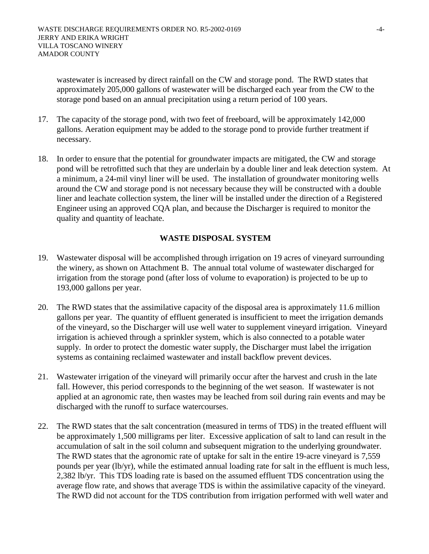wastewater is increased by direct rainfall on the CW and storage pond. The RWD states that approximately 205,000 gallons of wastewater will be discharged each year from the CW to the storage pond based on an annual precipitation using a return period of 100 years.

- 17. The capacity of the storage pond, with two feet of freeboard, will be approximately 142,000 gallons. Aeration equipment may be added to the storage pond to provide further treatment if necessary.
- 18. In order to ensure that the potential for groundwater impacts are mitigated, the CW and storage pond will be retrofitted such that they are underlain by a double liner and leak detection system. At a minimum, a 24-mil vinyl liner will be used. The installation of groundwater monitoring wells around the CW and storage pond is not necessary because they will be constructed with a double liner and leachate collection system, the liner will be installed under the direction of a Registered Engineer using an approved CQA plan, and because the Discharger is required to monitor the quality and quantity of leachate.

### **WASTE DISPOSAL SYSTEM**

- 19. Wastewater disposal will be accomplished through irrigation on 19 acres of vineyard surrounding the winery, as shown on Attachment B. The annual total volume of wastewater discharged for irrigation from the storage pond (after loss of volume to evaporation) is projected to be up to 193,000 gallons per year.
- 20. The RWD states that the assimilative capacity of the disposal area is approximately 11.6 million gallons per year. The quantity of effluent generated is insufficient to meet the irrigation demands of the vineyard, so the Discharger will use well water to supplement vineyard irrigation. Vineyard irrigation is achieved through a sprinkler system, which is also connected to a potable water supply. In order to protect the domestic water supply, the Discharger must label the irrigation systems as containing reclaimed wastewater and install backflow prevent devices.
- 21. Wastewater irrigation of the vineyard will primarily occur after the harvest and crush in the late fall. However, this period corresponds to the beginning of the wet season. If wastewater is not applied at an agronomic rate, then wastes may be leached from soil during rain events and may be discharged with the runoff to surface watercourses.
- 22. The RWD states that the salt concentration (measured in terms of TDS) in the treated effluent will be approximately 1,500 milligrams per liter. Excessive application of salt to land can result in the accumulation of salt in the soil column and subsequent migration to the underlying groundwater. The RWD states that the agronomic rate of uptake for salt in the entire 19-acre vineyard is 7,559 pounds per year (lb/yr), while the estimated annual loading rate for salt in the effluent is much less, 2,382 lb/yr. This TDS loading rate is based on the assumed effluent TDS concentration using the average flow rate, and shows that average TDS is within the assimilative capacity of the vineyard. The RWD did not account for the TDS contribution from irrigation performed with well water and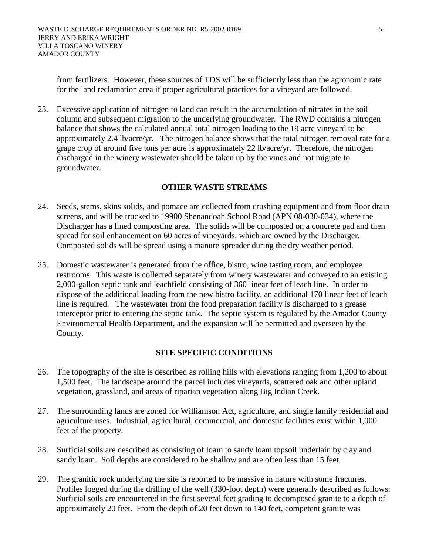from fertilizers. However, these sources of TDS will be sufficiently less than the agronomic rate for the land reclamation area if proper agricultural practices for a vineyard are followed.

23. Excessive application of nitrogen to land can result in the accumulation of nitrates in the soil column and subsequent migration to the underlying groundwater. The RWD contains a nitrogen balance that shows the calculated annual total nitrogen loading to the 19 acre vineyard to be approximately 2.4 lb/acre/yr. The nitrogen balance shows that the total nitrogen removal rate for a grape crop of around five tons per acre is approximately 22 lb/acre/yr. Therefore, the nitrogen discharged in the winery wastewater should be taken up by the vines and not migrate to groundwater.

### **OTHER WASTE STREAMS**

- 24. Seeds, stems, skins solids, and pomace are collected from crushing equipment and from floor drain screens, and will be trucked to 19900 Shenandoah School Road (APN 08-030-034), where the Discharger has a lined composting area. The solids will be composted on a concrete pad and then spread for soil enhancement on 60 acres of vineyards, which are owned by the Discharger. Composted solids will be spread using a manure spreader during the dry weather period.
- 25. Domestic wastewater is generated from the office, bistro, wine tasting room, and employee restrooms. This waste is collected separately from winery wastewater and conveyed to an existing 2,000-gallon septic tank and leachfield consisting of 360 linear feet of leach line. In order to dispose of the additional loading from the new bistro facility, an additional 170 linear feet of leach line is required. The wastewater from the food preparation facility is discharged to a grease interceptor prior to entering the septic tank. The septic system is regulated by the Amador County Environmental Health Department, and the expansion will be permitted and overseen by the County.

### **SITE SPECIFIC CONDITIONS**

- 26. The topography of the site is described as rolling hills with elevations ranging from 1,200 to about 1,500 feet. The landscape around the parcel includes vineyards, scattered oak and other upland vegetation, grassland, and areas of riparian vegetation along Big Indian Creek.
- 27. The surrounding lands are zoned for Williamson Act, agriculture, and single family residential and agriculture uses. Industrial, agricultural, commercial, and domestic facilities exist within 1,000 feet of the property.
- 28. Surficial soils are described as consisting of loam to sandy loam topsoil underlain by clay and sandy loam. Soil depths are considered to be shallow and are often less than 15 feet.
- 29. The granitic rock underlying the site is reported to be massive in nature with some fractures. Profiles logged during the drilling of the well (330-foot depth) were generally described as follows: Surficial soils are encountered in the first several feet grading to decomposed granite to a depth of approximately 20 feet. From the depth of 20 feet down to 140 feet, competent granite was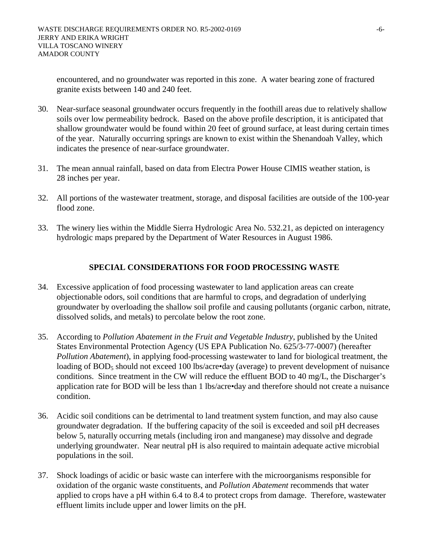encountered, and no groundwater was reported in this zone. A water bearing zone of fractured granite exists between 140 and 240 feet.

- 30. Near-surface seasonal groundwater occurs frequently in the foothill areas due to relatively shallow soils over low permeability bedrock. Based on the above profile description, it is anticipated that shallow groundwater would be found within 20 feet of ground surface, at least during certain times of the year. Naturally occurring springs are known to exist within the Shenandoah Valley, which indicates the presence of near-surface groundwater.
- 31. The mean annual rainfall, based on data from Electra Power House CIMIS weather station, is 28 inches per year.
- 32. All portions of the wastewater treatment, storage, and disposal facilities are outside of the 100-year flood zone.
- 33. The winery lies within the Middle Sierra Hydrologic Area No. 532.21, as depicted on interagency hydrologic maps prepared by the Department of Water Resources in August 1986.

# **SPECIAL CONSIDERATIONS FOR FOOD PROCESSING WASTE**

- 34. Excessive application of food processing wastewater to land application areas can create objectionable odors, soil conditions that are harmful to crops, and degradation of underlying groundwater by overloading the shallow soil profile and causing pollutants (organic carbon, nitrate, dissolved solids, and metals) to percolate below the root zone.
- 35. According to *Pollution Abatement in the Fruit and Vegetable Industry*, published by the United States Environmental Protection Agency (US EPA Publication No. 625/3-77-0007) (hereafter *Pollution Abatement*), in applying food-processing wastewater to land for biological treatment, the loading of  $BOD_5$  should not exceed 100 lbs/acre•day (average) to prevent development of nuisance conditions. Since treatment in the CW will reduce the effluent BOD to 40 mg/L, the Discharger's application rate for BOD will be less than 1 lbs/acre•day and therefore should not create a nuisance condition.
- 36. Acidic soil conditions can be detrimental to land treatment system function, and may also cause groundwater degradation. If the buffering capacity of the soil is exceeded and soil pH decreases below 5, naturally occurring metals (including iron and manganese) may dissolve and degrade underlying groundwater. Near neutral pH is also required to maintain adequate active microbial populations in the soil.
- 37. Shock loadings of acidic or basic waste can interfere with the microorganisms responsible for oxidation of the organic waste constituents, and *Pollution Abatement* recommends that water applied to crops have a pH within 6.4 to 8.4 to protect crops from damage. Therefore, wastewater effluent limits include upper and lower limits on the pH.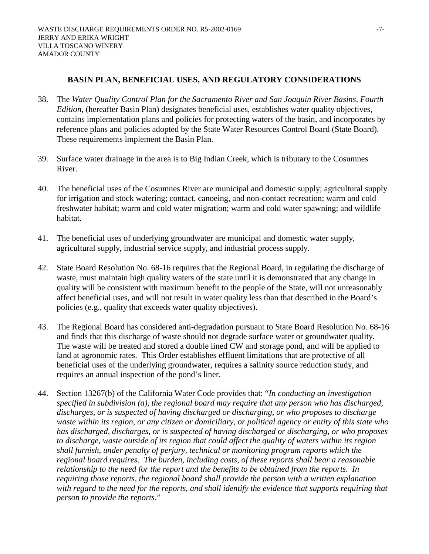### **BASIN PLAN, BENEFICIAL USES, AND REGULATORY CONSIDERATIONS**

- 38. The *Water Quality Control Plan for the Sacramento River and San Joaquin River Basins, Fourth Edition*, (hereafter Basin Plan) designates beneficial uses, establishes water quality objectives, contains implementation plans and policies for protecting waters of the basin, and incorporates by reference plans and policies adopted by the State Water Resources Control Board (State Board). These requirements implement the Basin Plan.
- 39. Surface water drainage in the area is to Big Indian Creek, which is tributary to the Cosumnes River.
- 40. The beneficial uses of the Cosumnes River are municipal and domestic supply; agricultural supply for irrigation and stock watering; contact, canoeing, and non-contact recreation; warm and cold freshwater habitat; warm and cold water migration; warm and cold water spawning; and wildlife habitat.
- 41. The beneficial uses of underlying groundwater are municipal and domestic water supply, agricultural supply, industrial service supply, and industrial process supply.
- 42. State Board Resolution No. 68-16 requires that the Regional Board, in regulating the discharge of waste, must maintain high quality waters of the state until it is demonstrated that any change in quality will be consistent with maximum benefit to the people of the State, will not unreasonably affect beneficial uses, and will not result in water quality less than that described in the Board's policies (e.g., quality that exceeds water quality objectives).
- 43. The Regional Board has considered anti-degradation pursuant to State Board Resolution No. 68-16 and finds that this discharge of waste should not degrade surface water or groundwater quality. The waste will be treated and stored a double lined CW and storage pond, and will be applied to land at agronomic rates. This Order establishes effluent limitations that are protective of all beneficial uses of the underlying groundwater, requires a salinity source reduction study, and requires an annual inspection of the pond's liner.
- 44. Section 13267(b) of the California Water Code provides that: "*In conducting an investigation specified in subdivision (a), the regional board may require that any person who has discharged, discharges, or is suspected of having discharged or discharging, or who proposes to discharge waste within its region, or any citizen or domiciliary, or political agency or entity of this state who has discharged, discharges, or is suspected of having discharged or discharging, or who proposes to discharge, waste outside of its region that could affect the quality of waters within its region shall furnish, under penalty of perjury, technical or monitoring program reports which the regional board requires. The burden, including costs, of these reports shall bear a reasonable relationship to the need for the report and the benefits to be obtained from the reports. In requiring those reports, the regional board shall provide the person with a written explanation*  with regard to the need for the reports, and shall identify the evidence that supports requiring that *person to provide the reports*."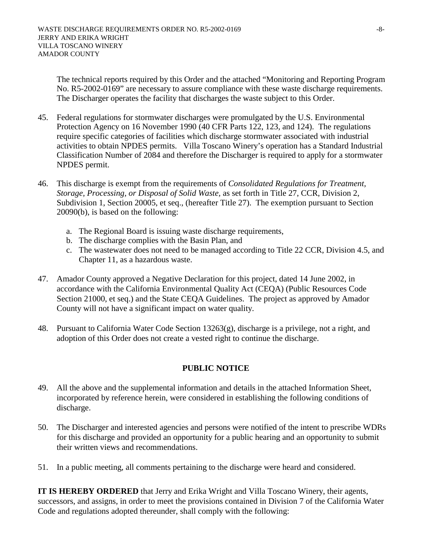The technical reports required by this Order and the attached "Monitoring and Reporting Program No. R5-2002-0169" are necessary to assure compliance with these waste discharge requirements. The Discharger operates the facility that discharges the waste subject to this Order.

- 45. Federal regulations for stormwater discharges were promulgated by the U.S. Environmental Protection Agency on 16 November 1990 (40 CFR Parts 122, 123, and 124). The regulations require specific categories of facilities which discharge stormwater associated with industrial activities to obtain NPDES permits. Villa Toscano Winery's operation has a Standard Industrial Classification Number of 2084 and therefore the Discharger is required to apply for a stormwater NPDES permit.
- 46. This discharge is exempt from the requirements of *Consolidated Regulations for Treatment, Storage, Processing, or Disposal of Solid Waste,* as set forth in Title 27, CCR, Division 2, Subdivision 1, Section 20005, et seq., (hereafter Title 27). The exemption pursuant to Section 20090(b), is based on the following:
	- a. The Regional Board is issuing waste discharge requirements,
	- b. The discharge complies with the Basin Plan, and
	- c. The wastewater does not need to be managed according to Title 22 CCR, Division 4.5, and Chapter 11, as a hazardous waste.
- 47. Amador County approved a Negative Declaration for this project, dated 14 June 2002, in accordance with the California Environmental Quality Act (CEQA) (Public Resources Code Section 21000, et seq.) and the State CEQA Guidelines. The project as approved by Amador County will not have a significant impact on water quality.
- 48. Pursuant to California Water Code Section 13263(g), discharge is a privilege, not a right, and adoption of this Order does not create a vested right to continue the discharge.

### **PUBLIC NOTICE**

- 49. All the above and the supplemental information and details in the attached Information Sheet, incorporated by reference herein, were considered in establishing the following conditions of discharge.
- 50. The Discharger and interested agencies and persons were notified of the intent to prescribe WDRs for this discharge and provided an opportunity for a public hearing and an opportunity to submit their written views and recommendations.
- 51. In a public meeting, all comments pertaining to the discharge were heard and considered.

**IT IS HEREBY ORDERED** that Jerry and Erika Wright and Villa Toscano Winery, their agents, successors, and assigns, in order to meet the provisions contained in Division 7 of the California Water Code and regulations adopted thereunder, shall comply with the following: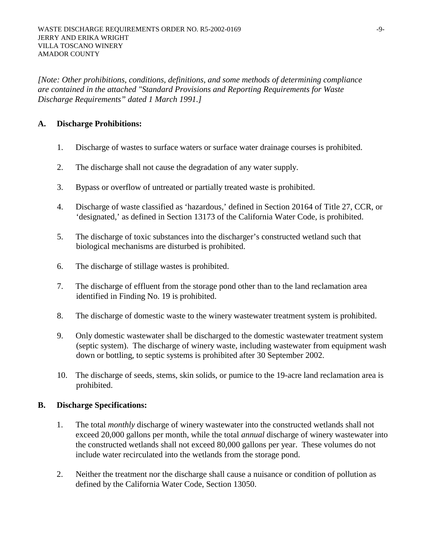*[Note: Other prohibitions, conditions, definitions, and some methods of determining compliance are contained in the attached "Standard Provisions and Reporting Requirements for Waste Discharge Requirements" dated 1 March 1991.]* 

### **A. Discharge Prohibitions:**

- 1. Discharge of wastes to surface waters or surface water drainage courses is prohibited.
- 2. The discharge shall not cause the degradation of any water supply.
- 3. Bypass or overflow of untreated or partially treated waste is prohibited.
- 4. Discharge of waste classified as 'hazardous,' defined in Section 20164 of Title 27, CCR, or 'designated,' as defined in Section 13173 of the California Water Code, is prohibited.
- 5. The discharge of toxic substances into the discharger's constructed wetland such that biological mechanisms are disturbed is prohibited.
- 6. The discharge of stillage wastes is prohibited.
- 7. The discharge of effluent from the storage pond other than to the land reclamation area identified in Finding No. 19 is prohibited.
- 8. The discharge of domestic waste to the winery wastewater treatment system is prohibited.
- 9. Only domestic wastewater shall be discharged to the domestic wastewater treatment system (septic system). The discharge of winery waste, including wastewater from equipment wash down or bottling, to septic systems is prohibited after 30 September 2002.
- 10. The discharge of seeds, stems, skin solids, or pumice to the 19-acre land reclamation area is prohibited.

### **B. Discharge Specifications:**

- 1. The total *monthly* discharge of winery wastewater into the constructed wetlands shall not exceed 20,000 gallons per month, while the total *annual* discharge of winery wastewater into the constructed wetlands shall not exceed 80,000 gallons per year. These volumes do not include water recirculated into the wetlands from the storage pond.
- 2. Neither the treatment nor the discharge shall cause a nuisance or condition of pollution as defined by the California Water Code, Section 13050.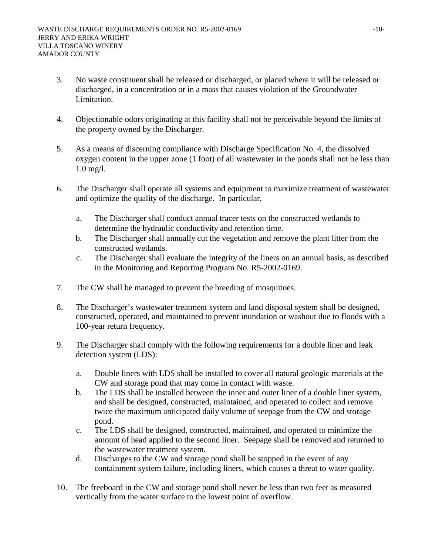- 3. No waste constituent shall be released or discharged, or placed where it will be released or discharged, in a concentration or in a mass that causes violation of the Groundwater Limitation.
- 4. Objectionable odors originating at this facility shall not be perceivable beyond the limits of the property owned by the Discharger.
- 5. As a means of discerning compliance with Discharge Specification No. 4, the dissolved oxygen content in the upper zone (1 foot) of all wastewater in the ponds shall not be less than 1.0 mg/l.
- 6. The Discharger shall operate all systems and equipment to maximize treatment of wastewater and optimize the quality of the discharge. In particular,
	- a. The Discharger shall conduct annual tracer tests on the constructed wetlands to determine the hydraulic conductivity and retention time.
	- b. The Discharger shall annually cut the vegetation and remove the plant litter from the constructed wetlands.
	- c. The Discharger shall evaluate the integrity of the liners on an annual basis, as described in the Monitoring and Reporting Program No. R5-2002-0169.
- 7. The CW shall be managed to prevent the breeding of mosquitoes.
- 8. The Discharger's wastewater treatment system and land disposal system shall be designed, constructed, operated, and maintained to prevent inundation or washout due to floods with a 100-year return frequency.
- 9. The Discharger shall comply with the following requirements for a double liner and leak detection system (LDS):
	- a. Double liners with LDS shall be installed to cover all natural geologic materials at the CW and storage pond that may come in contact with waste.
	- b. The LDS shall be installed between the inner and outer liner of a double liner system, and shall be designed, constructed, maintained, and operated to collect and remove twice the maximum anticipated daily volume of seepage from the CW and storage pond.
	- c. The LDS shall be designed, constructed, maintained, and operated to minimize the amount of head applied to the second liner. Seepage shall be removed and returned to the wastewater treatment system.
	- d. Discharges to the CW and storage pond shall be stopped in the event of any containment system failure, including liners, which causes a threat to water quality.
- 10. The freeboard in the CW and storage pond shall never be less than two feet as measured vertically from the water surface to the lowest point of overflow.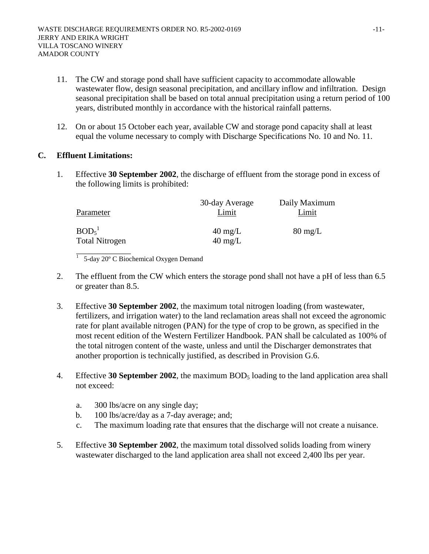- 11. The CW and storage pond shall have sufficient capacity to accommodate allowable wastewater flow, design seasonal precipitation, and ancillary inflow and infiltration. Design seasonal precipitation shall be based on total annual precipitation using a return period of 100 years, distributed monthly in accordance with the historical rainfall patterns.
- 12. On or about 15 October each year, available CW and storage pond capacity shall at least equal the volume necessary to comply with Discharge Specifications No. 10 and No. 11.

### **C. Effluent Limitations:**

1. Effective **30 September 2002**, the discharge of effluent from the storage pond in excess of the following limits is prohibited:

| Parameter                                              | 30-day Average<br>Limit                | Daily Maximum<br>Limit |
|--------------------------------------------------------|----------------------------------------|------------------------|
| BOD <sub>5</sub> <sup>1</sup><br><b>Total Nitrogen</b> | $40 \text{ mg/L}$<br>$40 \text{ mg/L}$ | $80 \text{ mg/L}$      |

1 5-day 20º C Biochemical Oxygen Demand

- 2. The effluent from the CW which enters the storage pond shall not have a pH of less than 6.5 or greater than 8.5.
- 3. Effective **30 September 2002**, the maximum total nitrogen loading (from wastewater, fertilizers, and irrigation water) to the land reclamation areas shall not exceed the agronomic rate for plant available nitrogen (PAN) for the type of crop to be grown, as specified in the most recent edition of the Western Fertilizer Handbook. PAN shall be calculated as 100% of the total nitrogen content of the waste, unless and until the Discharger demonstrates that another proportion is technically justified, as described in Provision G.6.
- 4. Effective **30 September 2002**, the maximum BOD<sub>5</sub> loading to the land application area shall not exceed:
	- a. 300 lbs/acre on any single day;
	- b. 100 lbs/acre/day as a 7-day average; and;
	- c. The maximum loading rate that ensures that the discharge will not create a nuisance.
- 5. Effective **30 September 2002**, the maximum total dissolved solids loading from winery wastewater discharged to the land application area shall not exceed 2,400 lbs per year.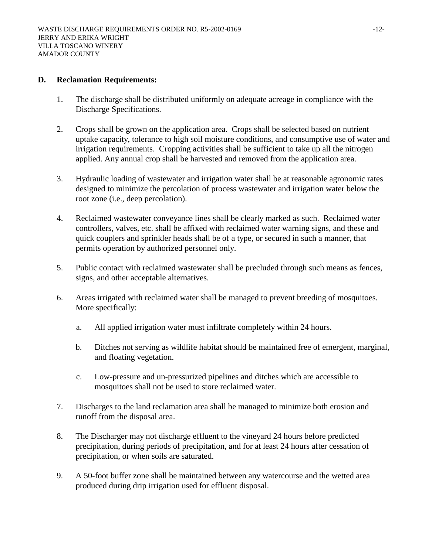### **D. Reclamation Requirements:**

- 1. The discharge shall be distributed uniformly on adequate acreage in compliance with the Discharge Specifications.
- 2. Crops shall be grown on the application area. Crops shall be selected based on nutrient uptake capacity, tolerance to high soil moisture conditions, and consumptive use of water and irrigation requirements. Cropping activities shall be sufficient to take up all the nitrogen applied. Any annual crop shall be harvested and removed from the application area.
- 3. Hydraulic loading of wastewater and irrigation water shall be at reasonable agronomic rates designed to minimize the percolation of process wastewater and irrigation water below the root zone (i.e., deep percolation).
- 4. Reclaimed wastewater conveyance lines shall be clearly marked as such. Reclaimed water controllers, valves, etc. shall be affixed with reclaimed water warning signs, and these and quick couplers and sprinkler heads shall be of a type, or secured in such a manner, that permits operation by authorized personnel only.
- 5. Public contact with reclaimed wastewater shall be precluded through such means as fences, signs, and other acceptable alternatives.
- 6. Areas irrigated with reclaimed water shall be managed to prevent breeding of mosquitoes. More specifically:
	- a. All applied irrigation water must infiltrate completely within 24 hours.
	- b. Ditches not serving as wildlife habitat should be maintained free of emergent, marginal, and floating vegetation.
	- c. Low-pressure and un-pressurized pipelines and ditches which are accessible to mosquitoes shall not be used to store reclaimed water.
- 7. Discharges to the land reclamation area shall be managed to minimize both erosion and runoff from the disposal area.
- 8. The Discharger may not discharge effluent to the vineyard 24 hours before predicted precipitation, during periods of precipitation, and for at least 24 hours after cessation of precipitation, or when soils are saturated.
- 9. A 50-foot buffer zone shall be maintained between any watercourse and the wetted area produced during drip irrigation used for effluent disposal.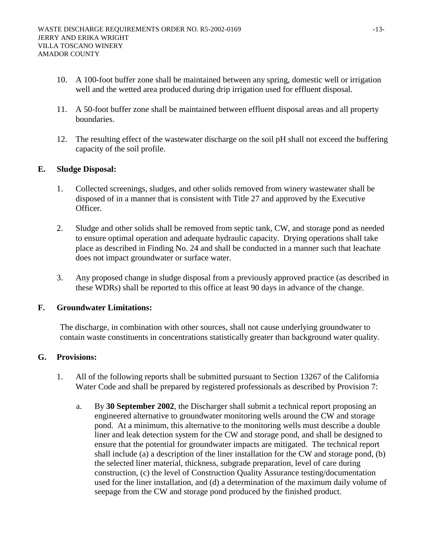- 10. A 100-foot buffer zone shall be maintained between any spring, domestic well or irrigation well and the wetted area produced during drip irrigation used for effluent disposal.
- 11. A 50-foot buffer zone shall be maintained between effluent disposal areas and all property boundaries.
- 12. The resulting effect of the wastewater discharge on the soil pH shall not exceed the buffering capacity of the soil profile.

### **E. Sludge Disposal:**

- 1. Collected screenings, sludges, and other solids removed from winery wastewater shall be disposed of in a manner that is consistent with Title 27 and approved by the Executive Officer.
- 2. Sludge and other solids shall be removed from septic tank, CW, and storage pond as needed to ensure optimal operation and adequate hydraulic capacity. Drying operations shall take place as described in Finding No. 24 and shall be conducted in a manner such that leachate does not impact groundwater or surface water.
- 3. Any proposed change in sludge disposal from a previously approved practice (as described in these WDRs) shall be reported to this office at least 90 days in advance of the change.

### **F. Groundwater Limitations:**

The discharge, in combination with other sources, shall not cause underlying groundwater to contain waste constituents in concentrations statistically greater than background water quality.

### **G. Provisions:**

- 1. All of the following reports shall be submitted pursuant to Section 13267 of the California Water Code and shall be prepared by registered professionals as described by Provision 7:
	- a. By **30 September 2002**, the Discharger shall submit a technical report proposing an engineered alternative to groundwater monitoring wells around the CW and storage pond. At a minimum, this alternative to the monitoring wells must describe a double liner and leak detection system for the CW and storage pond, and shall be designed to ensure that the potential for groundwater impacts are mitigated. The technical report shall include (a) a description of the liner installation for the CW and storage pond, (b) the selected liner material, thickness, subgrade preparation, level of care during construction, (c) the level of Construction Quality Assurance testing/documentation used for the liner installation, and (d) a determination of the maximum daily volume of seepage from the CW and storage pond produced by the finished product.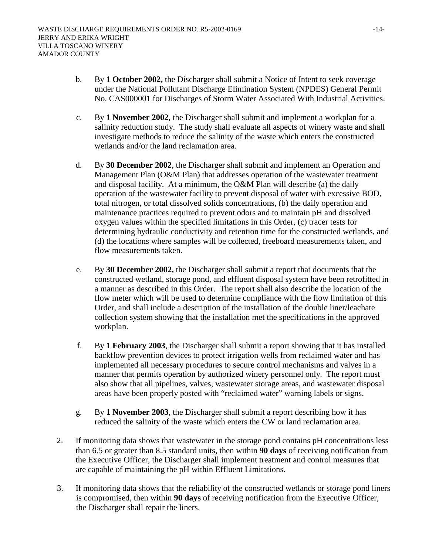- b. By **1 October 2002,** the Discharger shall submit a Notice of Intent to seek coverage under the National Pollutant Discharge Elimination System (NPDES) General Permit No. CAS000001 for Discharges of Storm Water Associated With Industrial Activities.
- c. By **1 November 2002**, the Discharger shall submit and implement a workplan for a salinity reduction study. The study shall evaluate all aspects of winery waste and shall investigate methods to reduce the salinity of the waste which enters the constructed wetlands and/or the land reclamation area.
- d. By **30 December 2002**, the Discharger shall submit and implement an Operation and Management Plan (O&M Plan) that addresses operation of the wastewater treatment and disposal facility. At a minimum, the O&M Plan will describe (a) the daily operation of the wastewater facility to prevent disposal of water with excessive BOD, total nitrogen, or total dissolved solids concentrations, (b) the daily operation and maintenance practices required to prevent odors and to maintain pH and dissolved oxygen values within the specified limitations in this Order, (c) tracer tests for determining hydraulic conductivity and retention time for the constructed wetlands, and (d) the locations where samples will be collected, freeboard measurements taken, and flow measurements taken.
- e. By **30 December 2002,** the Discharger shall submit a report that documents that the constructed wetland, storage pond, and effluent disposal system have been retrofitted in a manner as described in this Order. The report shall also describe the location of the flow meter which will be used to determine compliance with the flow limitation of this Order, and shall include a description of the installation of the double liner/leachate collection system showing that the installation met the specifications in the approved workplan.
- f. By **1 February 2003**, the Discharger shall submit a report showing that it has installed backflow prevention devices to protect irrigation wells from reclaimed water and has implemented all necessary procedures to secure control mechanisms and valves in a manner that permits operation by authorized winery personnel only. The report must also show that all pipelines, valves, wastewater storage areas, and wastewater disposal areas have been properly posted with "reclaimed water" warning labels or signs.
- g. By **1 November 2003**, the Discharger shall submit a report describing how it has reduced the salinity of the waste which enters the CW or land reclamation area.
- 2. If monitoring data shows that wastewater in the storage pond contains pH concentrations less than 6.5 or greater than 8.5 standard units, then within **90 days** of receiving notification from the Executive Officer, the Discharger shall implement treatment and control measures that are capable of maintaining the pH within Effluent Limitations.
- 3. If monitoring data shows that the reliability of the constructed wetlands or storage pond liners is compromised, then within **90 days** of receiving notification from the Executive Officer, the Discharger shall repair the liners.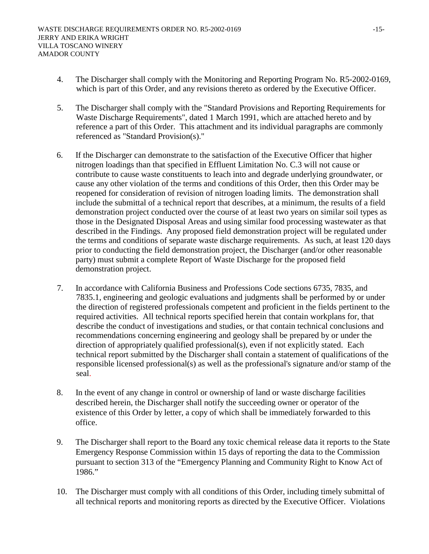- 4. The Discharger shall comply with the Monitoring and Reporting Program No. R5-2002-0169, which is part of this Order, and any revisions thereto as ordered by the Executive Officer.
- 5. The Discharger shall comply with the "Standard Provisions and Reporting Requirements for Waste Discharge Requirements", dated 1 March 1991, which are attached hereto and by reference a part of this Order. This attachment and its individual paragraphs are commonly referenced as "Standard Provision(s)."
- 6. If the Discharger can demonstrate to the satisfaction of the Executive Officer that higher nitrogen loadings than that specified in Effluent Limitation No. C.3 will not cause or contribute to cause waste constituents to leach into and degrade underlying groundwater, or cause any other violation of the terms and conditions of this Order, then this Order may be reopened for consideration of revision of nitrogen loading limits. The demonstration shall include the submittal of a technical report that describes, at a minimum, the results of a field demonstration project conducted over the course of at least two years on similar soil types as those in the Designated Disposal Areas and using similar food processing wastewater as that described in the Findings. Any proposed field demonstration project will be regulated under the terms and conditions of separate waste discharge requirements. As such, at least 120 days prior to conducting the field demonstration project, the Discharger (and/or other reasonable party) must submit a complete Report of Waste Discharge for the proposed field demonstration project.
- 7. In accordance with California Business and Professions Code sections 6735, 7835, and 7835.1, engineering and geologic evaluations and judgments shall be performed by or under the direction of registered professionals competent and proficient in the fields pertinent to the required activities. All technical reports specified herein that contain workplans for, that describe the conduct of investigations and studies, or that contain technical conclusions and recommendations concerning engineering and geology shall be prepared by or under the direction of appropriately qualified professional(s), even if not explicitly stated. Each technical report submitted by the Discharger shall contain a statement of qualifications of the responsible licensed professional(s) as well as the professional's signature and/or stamp of the seal.
- 8. In the event of any change in control or ownership of land or waste discharge facilities described herein, the Discharger shall notify the succeeding owner or operator of the existence of this Order by letter, a copy of which shall be immediately forwarded to this office.
- 9. The Discharger shall report to the Board any toxic chemical release data it reports to the State Emergency Response Commission within 15 days of reporting the data to the Commission pursuant to section 313 of the "Emergency Planning and Community Right to Know Act of 1986."
- 10. The Discharger must comply with all conditions of this Order, including timely submittal of all technical reports and monitoring reports as directed by the Executive Officer. Violations